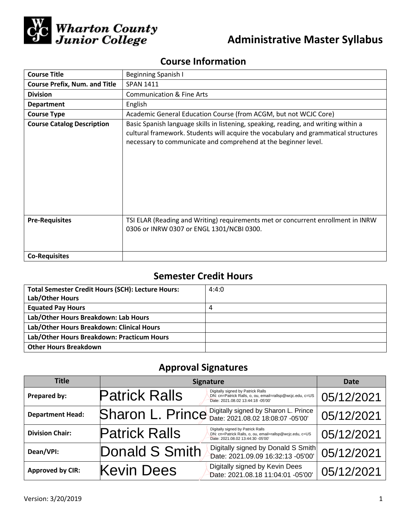

# **Administrative Master Syllabus**

# **Course Information**

| <b>Course Title</b>                  | <b>Beginning Spanish I</b>                                                                                                                                                                                                                   |
|--------------------------------------|----------------------------------------------------------------------------------------------------------------------------------------------------------------------------------------------------------------------------------------------|
| <b>Course Prefix, Num. and Title</b> | <b>SPAN 1411</b>                                                                                                                                                                                                                             |
| <b>Division</b>                      | <b>Communication &amp; Fine Arts</b>                                                                                                                                                                                                         |
| <b>Department</b>                    | English                                                                                                                                                                                                                                      |
| <b>Course Type</b>                   | Academic General Education Course (from ACGM, but not WCJC Core)                                                                                                                                                                             |
| <b>Course Catalog Description</b>    | Basic Spanish language skills in listening, speaking, reading, and writing within a<br>cultural framework. Students will acquire the vocabulary and grammatical structures<br>necessary to communicate and comprehend at the beginner level. |
| <b>Pre-Requisites</b>                | TSI ELAR (Reading and Writing) requirements met or concurrent enrollment in INRW<br>0306 or INRW 0307 or ENGL 1301/NCBI 0300.                                                                                                                |
| <b>Co-Requisites</b>                 |                                                                                                                                                                                                                                              |

## **Semester Credit Hours**

| <b>Total Semester Credit Hours (SCH): Lecture Hours:</b><br>Lab/Other Hours | 4:4:0 |
|-----------------------------------------------------------------------------|-------|
| <b>Equated Pay Hours</b>                                                    | 4     |
| Lab/Other Hours Breakdown: Lab Hours                                        |       |
| Lab/Other Hours Breakdown: Clinical Hours                                   |       |
| Lab/Other Hours Breakdown: Practicum Hours                                  |       |
| <b>Other Hours Breakdown</b>                                                |       |

# **Approval Signatures**

| Title                   | <b>Signature</b>                                                                                                                                           | <b>Date</b> |
|-------------------------|------------------------------------------------------------------------------------------------------------------------------------------------------------|-------------|
| Prepared by:            | Digitally signed by Patrick Ralls<br><b>Patrick Ralls</b><br>DN: cn=Patrick Ralls, o, ou, email=rallsp@wcjc.edu, c=US<br>Date: 2021.08.02 13:44:18 -05'00' | 05/12/2021  |
| <b>Department Head:</b> | Sharon L. Prince Digitally signed by Sharon L. Prince                                                                                                      | 05/12/2021  |
| <b>Division Chair:</b>  | Digitally signed by Patrick Ralls<br><b>Patrick Ralls</b><br>DN: cn=Patrick Ralls, o, ou, email=rallsp@wcjc.edu, c=US<br>Date: 2021.08.02 13:44:30 -05'00' | 05/12/2021  |
| Dean/VPI:               | Digitally signed by Donald S Smith<br>Donald S Smith<br>Date: 2021.09.09 16:32:13 -05'00'                                                                  | 05/12/2021  |
| <b>Approved by CIR:</b> | Digitally signed by Kevin Dees<br><b>Kevin Dees</b><br>Date: 2021.08.18 11:04:01 -05'00'                                                                   | 05/12/2021  |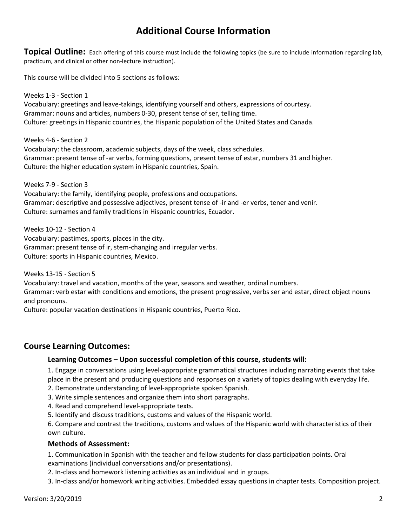## **Additional Course Information**

**Topical Outline:** Each offering of this course must include the following topics (be sure to include information regarding lab, practicum, and clinical or other non-lecture instruction).

This course will be divided into 5 sections as follows:

Weeks 1-3 - Section 1 Vocabulary: greetings and leave-takings, identifying yourself and others, expressions of courtesy. Grammar: nouns and articles, numbers 0-30, present tense of ser, telling time. Culture: greetings in Hispanic countries, the Hispanic population of the United States and Canada.

Weeks 4-6 - Section 2 Vocabulary: the classroom, academic subjects, days of the week, class schedules. Grammar: present tense of -ar verbs, forming questions, present tense of estar, numbers 31 and higher. Culture: the higher education system in Hispanic countries, Spain.

Weeks 7-9 - Section 3 Vocabulary: the family, identifying people, professions and occupations. Grammar: descriptive and possessive adjectives, present tense of -ir and -er verbs, tener and venir. Culture: surnames and family traditions in Hispanic countries, Ecuador.

Weeks 10-12 - Section 4 Vocabulary: pastimes, sports, places in the city. Grammar: present tense of ir, stem-changing and irregular verbs. Culture: sports in Hispanic countries, Mexico.

Weeks 13-15 - Section 5

Vocabulary: travel and vacation, months of the year, seasons and weather, ordinal numbers. Grammar: verb estar with conditions and emotions, the present progressive, verbs ser and estar, direct object nouns and pronouns.

Culture: popular vacation destinations in Hispanic countries, Puerto Rico.

## **Course Learning Outcomes:**

### **Learning Outcomes – Upon successful completion of this course, students will:**

1. Engage in conversations using level-appropriate grammatical structures including narrating events that take place in the present and producing questions and responses on a variety of topics dealing with everyday life.

- 2. Demonstrate understanding of level-appropriate spoken Spanish.
- 3. Write simple sentences and organize them into short paragraphs.
- 4. Read and comprehend level-appropriate texts.
- 5. Identify and discuss traditions, customs and values of the Hispanic world.

6. Compare and contrast the traditions, customs and values of the Hispanic world with characteristics of their own culture.

#### **Methods of Assessment:**

1. Communication in Spanish with the teacher and fellow students for class participation points. Oral examinations (individual conversations and/or presentations).

2. In-class and homework listening activities as an individual and in groups.

3. In-class and/or homework writing activities. Embedded essay questions in chapter tests. Composition project.